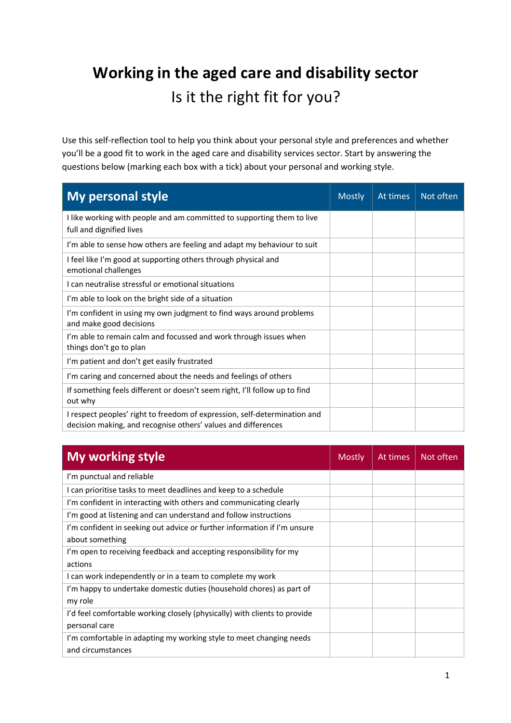# **Working in the aged care and disability sector** Is it the right fit for you?

Use this self-reflection tool to help you think about your personal style and preferences and whether you'll be a good fit to work in the aged care and disability services sector. Start by answering the questions below (marking each box with a tick) about your personal and working style.

| <b>My personal style</b>                                                                                                                   | <b>Mostly</b> | At times | Not often |
|--------------------------------------------------------------------------------------------------------------------------------------------|---------------|----------|-----------|
| I like working with people and am committed to supporting them to live<br>full and dignified lives                                         |               |          |           |
| I'm able to sense how others are feeling and adapt my behaviour to suit                                                                    |               |          |           |
| I feel like I'm good at supporting others through physical and<br>emotional challenges                                                     |               |          |           |
| I can neutralise stressful or emotional situations                                                                                         |               |          |           |
| I'm able to look on the bright side of a situation                                                                                         |               |          |           |
| I'm confident in using my own judgment to find ways around problems<br>and make good decisions                                             |               |          |           |
| I'm able to remain calm and focussed and work through issues when<br>things don't go to plan                                               |               |          |           |
| I'm patient and don't get easily frustrated                                                                                                |               |          |           |
| I'm caring and concerned about the needs and feelings of others                                                                            |               |          |           |
| If something feels different or doesn't seem right, I'll follow up to find<br>out why                                                      |               |          |           |
| I respect peoples' right to freedom of expression, self-determination and<br>decision making, and recognise others' values and differences |               |          |           |

| <b>My working style</b>                                                   | <b>Mostly</b> | At times | Not often |
|---------------------------------------------------------------------------|---------------|----------|-----------|
| I'm punctual and reliable                                                 |               |          |           |
| I can prioritise tasks to meet deadlines and keep to a schedule           |               |          |           |
| I'm confident in interacting with others and communicating clearly        |               |          |           |
| I'm good at listening and can understand and follow instructions          |               |          |           |
| I'm confident in seeking out advice or further information if I'm unsure  |               |          |           |
| about something                                                           |               |          |           |
| I'm open to receiving feedback and accepting responsibility for my        |               |          |           |
| actions                                                                   |               |          |           |
| I can work independently or in a team to complete my work                 |               |          |           |
| I'm happy to undertake domestic duties (household chores) as part of      |               |          |           |
| my role                                                                   |               |          |           |
| I'd feel comfortable working closely (physically) with clients to provide |               |          |           |
| personal care                                                             |               |          |           |
| I'm comfortable in adapting my working style to meet changing needs       |               |          |           |
| and circumstances                                                         |               |          |           |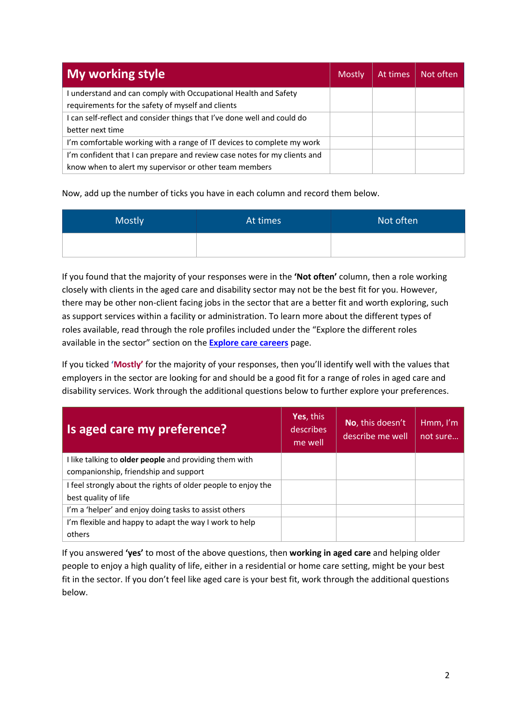| <b>My working style</b>                                                   | Mostly | At times | Not often |
|---------------------------------------------------------------------------|--------|----------|-----------|
| understand and can comply with Occupational Health and Safety             |        |          |           |
| requirements for the safety of myself and clients                         |        |          |           |
| I can self-reflect and consider things that I've done well and could do   |        |          |           |
| better next time                                                          |        |          |           |
| I'm comfortable working with a range of IT devices to complete my work    |        |          |           |
| I'm confident that I can prepare and review case notes for my clients and |        |          |           |
| know when to alert my supervisor or other team members                    |        |          |           |

Now, add up the number of ticks you have in each column and record them below.

| Mostly | At times | Not often |
|--------|----------|-----------|
|        |          |           |

If you found that the majority of your responses were in the **'Not often'** column, then a role working closely with clients in the aged care and disability sector may not be the best fit for you. However, there may be other non-client facing jobs in the sector that are a better fit and worth exploring, such as support services within a facility or administration. To learn more about the different types of roles available, read through the role profiles included under the "Explore the different roles available in the sector" section on the **Explore care careers** page.

If you ticked **'Mostly'** for the majority of your responses, then you'll identify well with the values that employers in the sector are looking for and should be a good fit for a range of roles in aged care and disability services. Work through the additional questions below to further explore your preferences.

| Is aged care my preference?                                                                     | Yes, this<br>describes<br>me well | No, this doesn't<br>describe me well | Hmm, I'm<br>not sure |
|-------------------------------------------------------------------------------------------------|-----------------------------------|--------------------------------------|----------------------|
| I like talking to older people and providing them with<br>companionship, friendship and support |                                   |                                      |                      |
| I feel strongly about the rights of older people to enjoy the<br>best quality of life           |                                   |                                      |                      |
| I'm a 'helper' and enjoy doing tasks to assist others                                           |                                   |                                      |                      |
| I'm flexible and happy to adapt the way I work to help<br>others                                |                                   |                                      |                      |

If you answered **'yes'** to most of the above questions, then **working in aged care** and helping older people to enjoy a high quality of life, either in a residential or home care setting, might be your best fit in the sector. If you don't feel like aged care is your best fit, work through the additional questions below.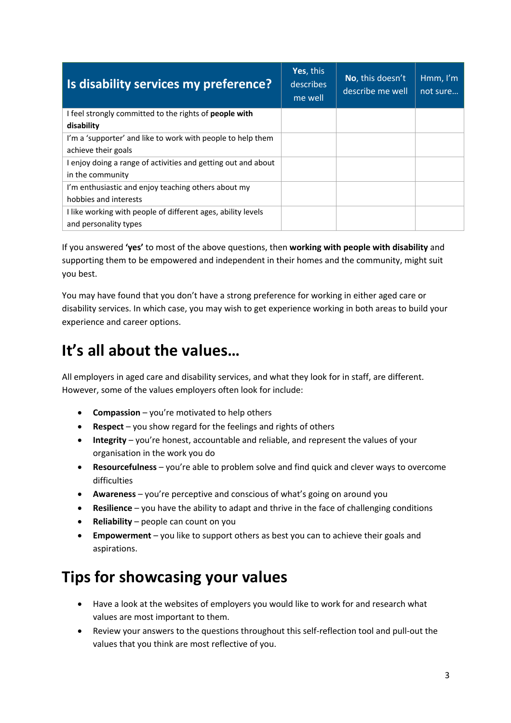| Is disability services my preference?                         | Yes, this<br>describes<br>me well | No, this doesn't<br>describe me well | Hmm, $I'm$<br>not sure |
|---------------------------------------------------------------|-----------------------------------|--------------------------------------|------------------------|
| I feel strongly committed to the rights of <b>people with</b> |                                   |                                      |                        |
| disability                                                    |                                   |                                      |                        |
| I'm a 'supporter' and like to work with people to help them   |                                   |                                      |                        |
| achieve their goals                                           |                                   |                                      |                        |
| I enjoy doing a range of activities and getting out and about |                                   |                                      |                        |
| in the community                                              |                                   |                                      |                        |
| I'm enthusiastic and enjoy teaching others about my           |                                   |                                      |                        |
| hobbies and interests                                         |                                   |                                      |                        |
| I like working with people of different ages, ability levels  |                                   |                                      |                        |
| and personality types                                         |                                   |                                      |                        |

If you answered **'yes'** to most of the above questions, then **working with people with disability** and supporting them to be empowered and independent in their homes and the community, might suit you best.

You may have found that you don't have a strong preference for working in either aged care or disability services. In which case, you may wish to get experience working in both areas to build your experience and career options.

# **It's all about the values…**

All employers in aged care and disability services, and what they look for in staff, are different. However, some of the values employers often look for include:

- **Compassion** you're motivated to help others
- **Respect** you show regard for the feelings and rights of others
- **Integrity** you're honest, accountable and reliable, and represent the values of your organisation in the work you do
- **Resourcefulness** you're able to problem solve and find quick and clever ways to overcome difficulties
- **Awareness** you're perceptive and conscious of what's going on around you
- **Resilience** you have the ability to adapt and thrive in the face of challenging conditions
- **Reliability** people can count on you
- **Empowerment** you like to support others as best you can to achieve their goals and aspirations.

# **Tips for showcasing your values**

- Have a look at the websites of employers you would like to work for and research what values are most important to them.
- Review your answers to the questions throughout this self-reflection tool and pull-out the values that you think are most reflective of you.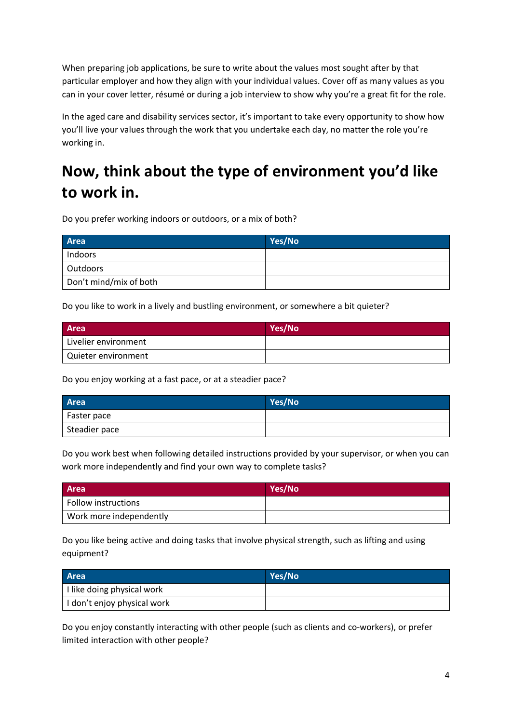When preparing job applications, be sure to write about the values most sought after by that particular employer and how they align with your individual values. Cover off as many values as you can in your cover letter, résumé or during a job interview to show why you're a great fit for the role.

In the aged care and disability services sector, it's important to take every opportunity to show how you'll live your values through the work that you undertake each day, no matter the role you're working in.

# **Now, think about the type of environment you'd like to work in.**

Do you prefer working indoors or outdoors, or a mix of both?

| Area                   | Yes/No |
|------------------------|--------|
| Indoors                |        |
| Outdoors               |        |
| Don't mind/mix of both |        |

Do you like to work in a lively and bustling environment, or somewhere a bit quieter?

| Area                 | Yes/No |
|----------------------|--------|
| Livelier environment |        |
| Quieter environment  |        |

Do you enjoy working at a fast pace, or at a steadier pace?

| <b>Area</b>   | Yes/No |
|---------------|--------|
| Faster pace   |        |
| Steadier pace |        |

Do you work best when following detailed instructions provided by your supervisor, or when you can work more independently and find your own way to complete tasks?

| <b>Area</b>             | Yes/No |
|-------------------------|--------|
| Follow instructions     |        |
| Work more independently |        |

Do you like being active and doing tasks that involve physical strength, such as lifting and using equipment?

| <b>Area</b>                             | Yes/No |
|-----------------------------------------|--------|
| <sup>1</sup> I like doing physical work |        |
| I don't enjoy physical work             |        |

Do you enjoy constantly interacting with other people (such as clients and co-workers), or prefer limited interaction with other people?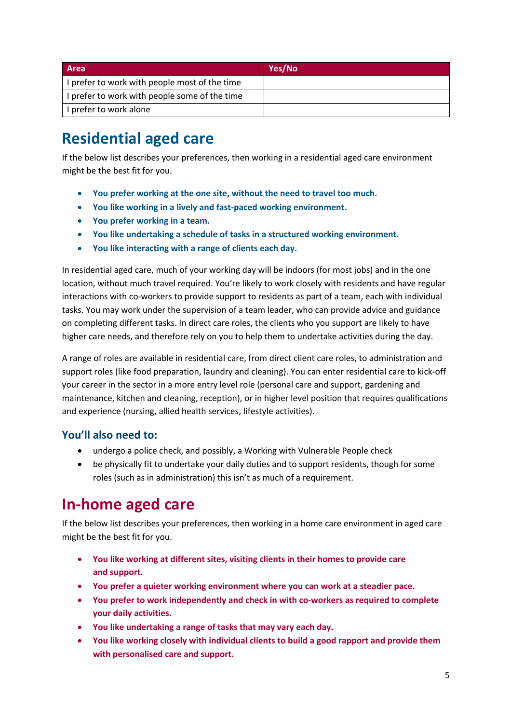| <b>Area</b>                                   | Yes/No |
|-----------------------------------------------|--------|
| I prefer to work with people most of the time |        |
| I prefer to work with people some of the time |        |
| I prefer to work alone                        |        |

# **Residential aged care**

If the below list describes your preferences, then working in a residential aged care environment might be the best fit for you.

- **You prefer working at the one site, without the need to travel too much.**
- **You like working in a lively and fast-paced working environment.**
- **You prefer working in a team.**
- **You like undertaking a schedule of tasks in a structured working environment.**
- **You like interacting with a range of clients each day.**

In residential aged care, much of your working day will be indoors (for most jobs) and in the one location, without much travel required. You're likely to work closely with residents and have regular interactions with co-workers to provide support to residents as part of a team, each with individual tasks. You may work under the supervision of a team leader, who can provide advice and guidance on completing different tasks. In direct care roles, the clients who you support are likely to have higher care needs, and therefore rely on you to help them to undertake activities during the day.

A range of roles are available in residential care, from direct client care roles, to administration and support roles (like food preparation, laundry and cleaning). You can enter residential care to kick-off your career in the sector in a more entry level role (personal care and support, gardening and maintenance, kitchen and cleaning, reception), or in higher level position that requires qualifications and experience (nursing, allied health services, lifestyle activities).

### **You'll also need to:**

- undergo a police check, and possibly, a Working with Vulnerable People check
- be physically fit to undertake your daily duties and to support residents, though for some roles (such as in administration) this isn't as much of a requirement.

### **In-home aged care**

If the below list describes your preferences, then working in a home care environment in aged care might be the best fit for you.

- **You like working at different sites, visiting clients in their homes to provide care and support.**
- **You prefer a quieter working environment where you can work at a steadier pace.**
- **You prefer to work independently and check in with co-workers as required to complete your daily activities.**
- **You like undertaking a range of tasks that may vary each day.**
- **You like working closely with individual clients to build a good rapport and provide them with personalised care and support.**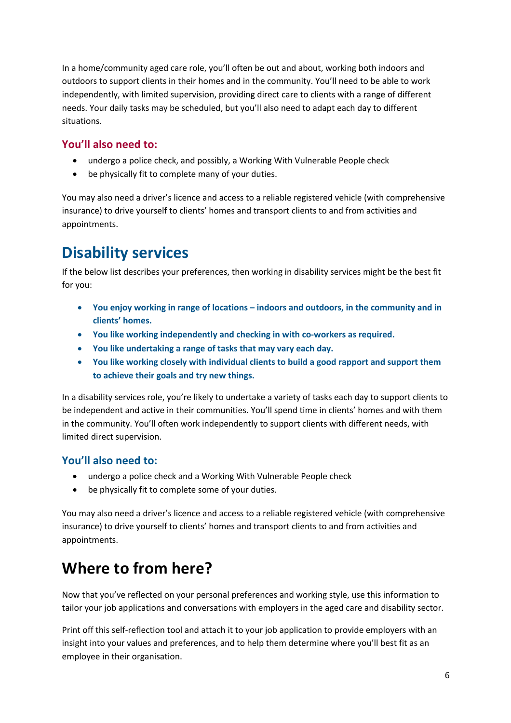In a home/community aged care role, you'll often be out and about, working both indoors and outdoors to support clients in their homes and in the community. You'll need to be able to work independently, with limited supervision, providing direct care to clients with a range of different needs. Your daily tasks may be scheduled, but you'll also need to adapt each day to different situations.

#### **You'll also need to:**

- undergo a police check, and possibly, a Working With Vulnerable People check
- be physically fit to complete many of your duties.

You may also need a driver's licence and access to a reliable registered vehicle (with comprehensive insurance) to drive yourself to clients' homes and transport clients to and from activities and appointments.

# **Disability services**

If the below list describes your preferences, then working in disability services might be the best fit for you:

- **You enjoy working in range of locations – indoors and outdoors, in the community and in clients' homes.**
- **You like working independently and checking in with co-workers as required.**
- **You like undertaking a range of tasks that may vary each day.**
- **You like working closely with individual clients to build a good rapport and support them to achieve their goals and try new things.**

In a disability services role, you're likely to undertake a variety of tasks each day to support clients to be independent and active in their communities. You'll spend time in clients' homes and with them in the community. You'll often work independently to support clients with different needs, with limited direct supervision.

### **You'll also need to:**

- undergo a police check and a Working With Vulnerable People check
- be physically fit to complete some of your duties.

You may also need a driver's licence and access to a reliable registered vehicle (with comprehensive insurance) to drive yourself to clients' homes and transport clients to and from activities and appointments.

# **Where to from here?**

Now that you've reflected on your personal preferences and working style, use this information to tailor your job applications and conversations with employers in the aged care and disability sector.

Print off this self-reflection tool and attach it to your job application to provide employers with an insight into your values and preferences, and to help them determine where you'll best fit as an employee in their organisation.